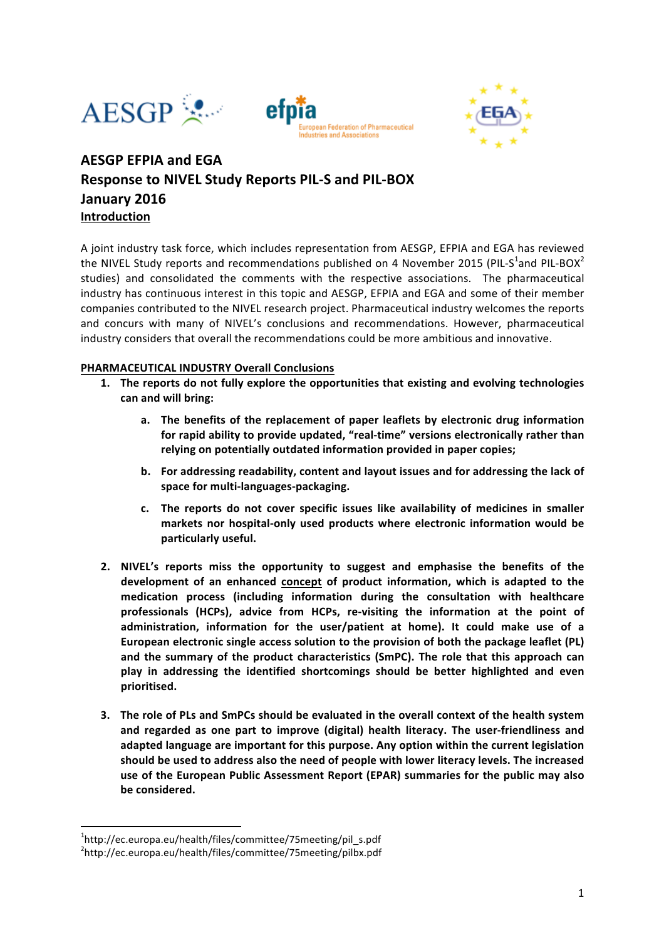





# **AESGP EFPIA and EGA Response to NIVEL Study Reports PIL-S and PIL-BOX January 2016 Introduction**

A joint industry task force, which includes representation from AESGP, EFPIA and EGA has reviewed the NIVEL Study reports and recommendations published on 4 November 2015 (PIL-S<sup>1</sup>and PIL-BOX<sup>2</sup> studies) and consolidated the comments with the respective associations. The pharmaceutical industry has continuous interest in this topic and AESGP, EFPIA and EGA and some of their member companies contributed to the NIVEL research project. Pharmaceutical industry welcomes the reports and concurs with many of NIVEL's conclusions and recommendations. However, pharmaceutical industry considers that overall the recommendations could be more ambitious and innovative.

## **PHARMACEUTICAL INDUSTRY Overall Conclusions**

- 1. The reports do not fully explore the opportunities that existing and evolving technologies can and will bring:
	- a. The benefits of the replacement of paper leaflets by electronic drug information for rapid ability to provide updated, "real-time" versions electronically rather than relying on potentially outdated information provided in paper copies;
	- **b.** For addressing readability, content and layout issues and for addressing the lack of space for multi-languages-packaging.
	- c. The reports do not cover specific issues like availability of medicines in smaller markets nor hospital-only used products where electronic information would be **particularly useful.**
- **2. NIVEL's reports miss the opportunity to suggest and emphasise the benefits of the** development of an enhanced concept of product information, which is adapted to the **medication process (including information during the consultation with healthcare**  professionals (HCPs), advice from HCPs, re-visiting the information at the point of administration, information for the user/patient at home). It could make use of a European electronic single access solution to the provision of both the package leaflet (PL) and the summary of the product characteristics (SmPC). The role that this approach can play in addressing the identified shortcomings should be better highlighted and even **prioritised.**
- **3.** The role of PLs and SmPCs should be evaluated in the overall context of the health system and regarded as one part to improve (digital) health literacy. The user-friendliness and adapted language are important for this purpose. Any option within the current legislation should be used to address also the need of people with lower literacy levels. The increased use of the European Public Assessment Report (EPAR) summaries for the public may also be considered.

<u> 1989 - Johann Stein, fransk politik (d. 1989)</u>

<sup>&</sup>lt;sup>1</sup>http://ec.europa.eu/health/files/committee/75meeting/pil\_s.pdf

<sup>&</sup>lt;sup>2</sup>http://ec.europa.eu/health/files/committee/75meeting/pilbx.pdf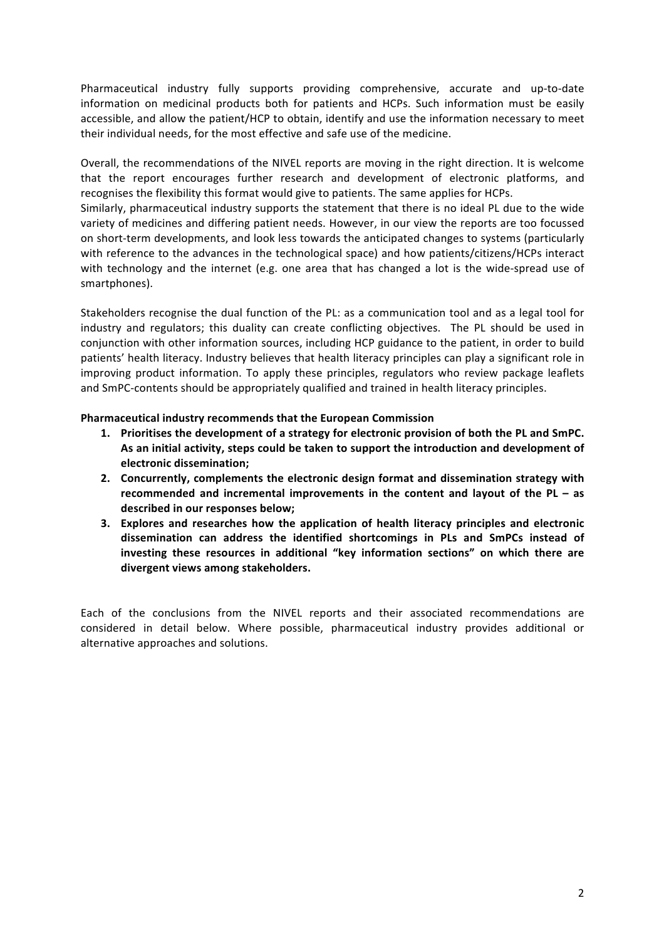Pharmaceutical industry fully supports providing comprehensive, accurate and up-to-date information on medicinal products both for patients and HCPs. Such information must be easily accessible, and allow the patient/HCP to obtain, identify and use the information necessary to meet their individual needs, for the most effective and safe use of the medicine.

Overall, the recommendations of the NIVEL reports are moving in the right direction. It is welcome that the report encourages further research and development of electronic platforms, and recognises the flexibility this format would give to patients. The same applies for HCPs.

Similarly, pharmaceutical industry supports the statement that there is no ideal PL due to the wide variety of medicines and differing patient needs. However, in our view the reports are too focussed on short-term developments, and look less towards the anticipated changes to systems (particularly with reference to the advances in the technological space) and how patients/citizens/HCPs interact with technology and the internet (e.g. one area that has changed a lot is the wide-spread use of smartphones).

Stakeholders recognise the dual function of the PL: as a communication tool and as a legal tool for industry and regulators; this duality can create conflicting objectives. The PL should be used in conjunction with other information sources, including HCP guidance to the patient, in order to build patients' health literacy. Industry believes that health literacy principles can play a significant role in improving product information. To apply these principles, regulators who review package leaflets and SmPC-contents should be appropriately qualified and trained in health literacy principles.

## **Pharmaceutical industry recommends that the European Commission**

- 1. Prioritises the development of a strategy for electronic provision of both the PL and SmPC. As an initial activity, steps could be taken to support the introduction and development of **electronic dissemination;**
- 2. Concurrently, complements the electronic design format and dissemination strategy with **recommended** and incremental improvements in the content and layout of the PL – as described in our responses below:
- **3.** Explores and researches how the application of health literacy principles and electronic **dissemination can address the identified shortcomings in PLs and SmPCs instead of investing these resources in additional "key information sections" on which there are divergent views among stakeholders.**

Each of the conclusions from the NIVEL reports and their associated recommendations are considered in detail below. Where possible, pharmaceutical industry provides additional or alternative approaches and solutions.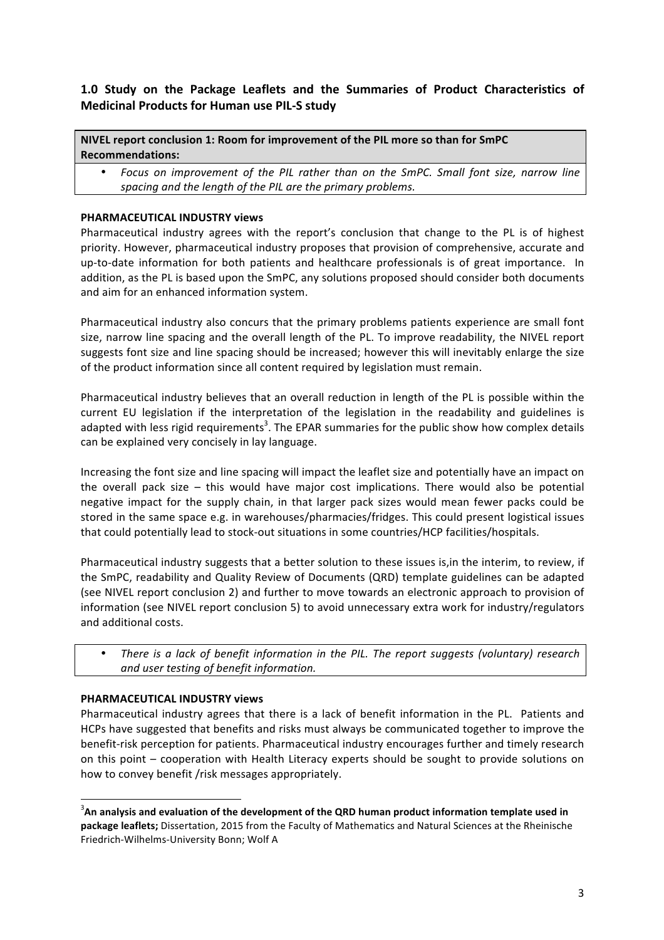# 1.0 Study on the Package Leaflets and the Summaries of Product Characteristics of **Medicinal Products for Human use PIL-S study**

#### **NIVEL report conclusion 1: Room for improvement of the PIL more so than for SmPC Recommendations:**

Focus on improvement of the PIL rather than on the SmPC. Small font size, narrow line spacing and the length of the PIL are the primary problems.

# **PHARMACEUTICAL INDUSTRY views**

Pharmaceutical industry agrees with the report's conclusion that change to the PL is of highest priority. However, pharmaceutical industry proposes that provision of comprehensive, accurate and up-to-date information for both patients and healthcare professionals is of great importance. In addition, as the PL is based upon the SmPC, any solutions proposed should consider both documents and aim for an enhanced information system.

Pharmaceutical industry also concurs that the primary problems patients experience are small font size, narrow line spacing and the overall length of the PL. To improve readability, the NIVEL report suggests font size and line spacing should be increased; however this will inevitably enlarge the size of the product information since all content required by legislation must remain.

Pharmaceutical industry believes that an overall reduction in length of the PL is possible within the current EU legislation if the interpretation of the legislation in the readability and guidelines is adapted with less rigid requirements<sup>3</sup>. The EPAR summaries for the public show how complex details can be explained very concisely in lay language.

Increasing the font size and line spacing will impact the leaflet size and potentially have an impact on the overall pack size – this would have major cost implications. There would also be potential negative impact for the supply chain, in that larger pack sizes would mean fewer packs could be stored in the same space e.g. in warehouses/pharmacies/fridges. This could present logistical issues that could potentially lead to stock-out situations in some countries/HCP facilities/hospitals.

Pharmaceutical industry suggests that a better solution to these issues is, in the interim, to review, if the SmPC, readability and Quality Review of Documents (QRD) template guidelines can be adapted (see NIVEL report conclusion 2) and further to move towards an electronic approach to provision of information (see NIVEL report conclusion 5) to avoid unnecessary extra work for industry/regulators and additional costs.

*There is a lack of benefit information in the PIL. The report suggests (voluntary) research and user testing of benefit information.*

#### **PHARMACEUTICAL INDUSTRY views**

Pharmaceutical industry agrees that there is a lack of benefit information in the PL. Patients and HCPs have suggested that benefits and risks must always be communicated together to improve the benefit-risk perception for patients. Pharmaceutical industry encourages further and timely research on this point – cooperation with Health Literacy experts should be sought to provide solutions on how to convey benefit /risk messages appropriately.

 $\frac{3}{2}$ An analysis and evaluation of the development of the QRD human product information template used in **package leaflets;** Dissertation, 2015 from the Faculty of Mathematics and Natural Sciences at the Rheinische Friedrich-Wilhelms-University Bonn; Wolf A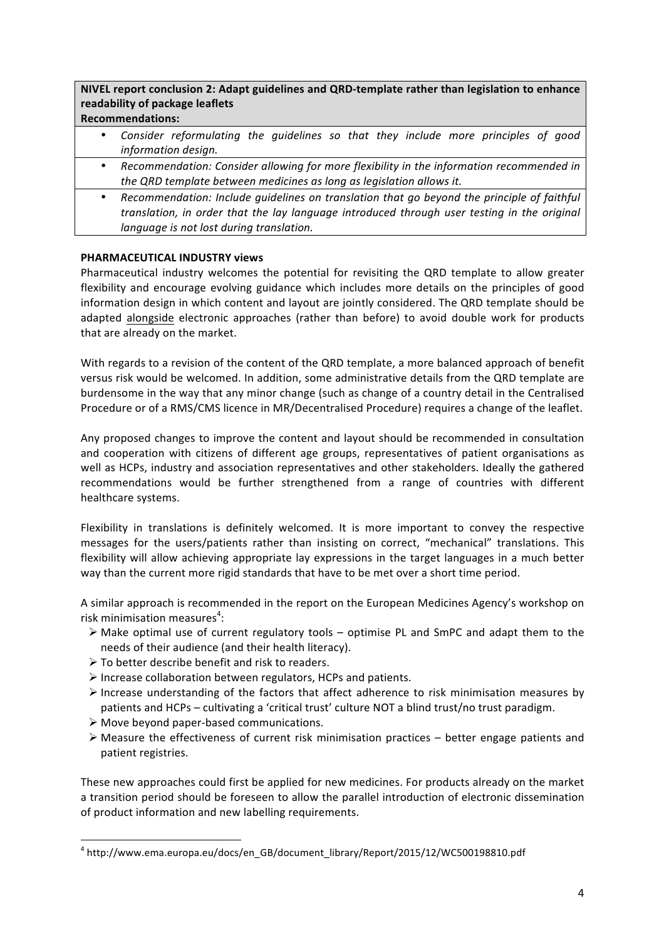# **NIVEL report conclusion 2: Adapt guidelines and QRD-template rather than legislation to enhance readability of package leaflets**

# **Recommendations:**

- Consider reformulating the guidelines so that they include more principles of good *information design.*
- Recommendation: Consider allowing for more flexibility in the information recommended in *the QRD template between medicines as long as legislation allows it.*
- Recommendation: Include quidelines on translation that go beyond the principle of faithful *translation, in order that the lay language introduced through user testing in the original language is not lost during translation.*

## **PHARMACEUTICAL INDUSTRY views**

Pharmaceutical industry welcomes the potential for revisiting the QRD template to allow greater flexibility and encourage evolving guidance which includes more details on the principles of good information design in which content and layout are jointly considered. The QRD template should be adapted alongside electronic approaches (rather than before) to avoid double work for products that are already on the market.

With regards to a revision of the content of the QRD template, a more balanced approach of benefit versus risk would be welcomed. In addition, some administrative details from the QRD template are burdensome in the way that any minor change (such as change of a country detail in the Centralised Procedure or of a RMS/CMS licence in MR/Decentralised Procedure) requires a change of the leaflet.

Any proposed changes to improve the content and layout should be recommended in consultation and cooperation with citizens of different age groups, representatives of patient organisations as well as HCPs, industry and association representatives and other stakeholders. Ideally the gathered recommendations would be further strengthened from a range of countries with different healthcare systems.

Flexibility in translations is definitely welcomed. It is more important to convey the respective messages for the users/patients rather than insisting on correct, "mechanical" translations. This flexibility will allow achieving appropriate lay expressions in the target languages in a much better way than the current more rigid standards that have to be met over a short time period.

A similar approach is recommended in the report on the European Medicines Agency's workshop on risk minimisation measures<sup>4</sup>:

- $\triangleright$  Make optimal use of current regulatory tools optimise PL and SmPC and adapt them to the needs of their audience (and their health literacy).
- $\triangleright$  To better describe benefit and risk to readers.
- $\triangleright$  Increase collaboration between regulators, HCPs and patients.
- $\triangleright$  Increase understanding of the factors that affect adherence to risk minimisation measures by patients and HCPs – cultivating a 'critical trust' culture NOT a blind trust/no trust paradigm.
- $\triangleright$  Move beyond paper-based communications.

 

 $\triangleright$  Measure the effectiveness of current risk minimisation practices – better engage patients and patient registries.

These new approaches could first be applied for new medicines. For products already on the market a transition period should be foreseen to allow the parallel introduction of electronic dissemination of product information and new labelling requirements.

<sup>4</sup> http://www.ema.europa.eu/docs/en\_GB/document\_library/Report/2015/12/WC500198810.pdf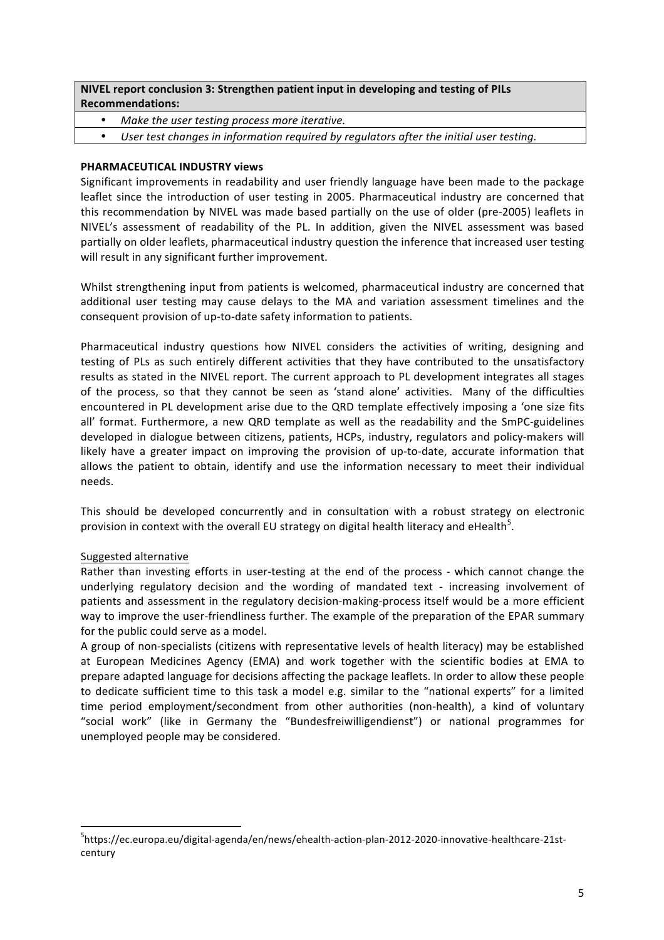# **NIVEL report conclusion 3: Strengthen patient input in developing and testing of PILs Recommendations:**

- *Make the user testing process more iterative.*
- User test changes in information required by requlators after the initial user testing.

### **PHARMACEUTICAL INDUSTRY views**

Significant improvements in readability and user friendly language have been made to the package leaflet since the introduction of user testing in 2005. Pharmaceutical industry are concerned that this recommendation by NIVEL was made based partially on the use of older (pre-2005) leaflets in NIVEL's assessment of readability of the PL. In addition, given the NIVEL assessment was based partially on older leaflets, pharmaceutical industry question the inference that increased user testing will result in any significant further improvement.

Whilst strengthening input from patients is welcomed, pharmaceutical industry are concerned that additional user testing may cause delays to the MA and variation assessment timelines and the consequent provision of up-to-date safety information to patients.

Pharmaceutical industry questions how NIVEL considers the activities of writing, designing and testing of PLs as such entirely different activities that they have contributed to the unsatisfactory results as stated in the NIVEL report. The current approach to PL development integrates all stages of the process, so that they cannot be seen as 'stand alone' activities. Many of the difficulties encountered in PL development arise due to the QRD template effectively imposing a 'one size fits all' format. Furthermore, a new QRD template as well as the readability and the SmPC-guidelines developed in dialogue between citizens, patients, HCPs, industry, regulators and policy-makers will likely have a greater impact on improving the provision of up-to-date, accurate information that allows the patient to obtain, identify and use the information necessary to meet their individual needs. 

This should be developed concurrently and in consultation with a robust strategy on electronic provision in context with the overall EU strategy on digital health literacy and eHealth<sup>5</sup>.

#### Suggested alternative

<u> 1989 - Johann Stein, fransk politik (d. 1989)</u>

Rather than investing efforts in user-testing at the end of the process - which cannot change the underlying regulatory decision and the wording of mandated text - increasing involvement of patients and assessment in the regulatory decision-making-process itself would be a more efficient way to improve the user-friendliness further. The example of the preparation of the EPAR summary for the public could serve as a model.

A group of non-specialists (citizens with representative levels of health literacy) may be established at European Medicines Agency (EMA) and work together with the scientific bodies at EMA to prepare adapted language for decisions affecting the package leaflets. In order to allow these people to dedicate sufficient time to this task a model e.g. similar to the "national experts" for a limited time period employment/secondment from other authorities (non-health), a kind of voluntary "social work" (like in Germany the "Bundesfreiwilligendienst") or national programmes for unemployed people may be considered.

<sup>5</sup> https://ec.europa.eu/digital-agenda/en/news/ehealth-action-plan-2012-2020-innovative-healthcare-21stcentury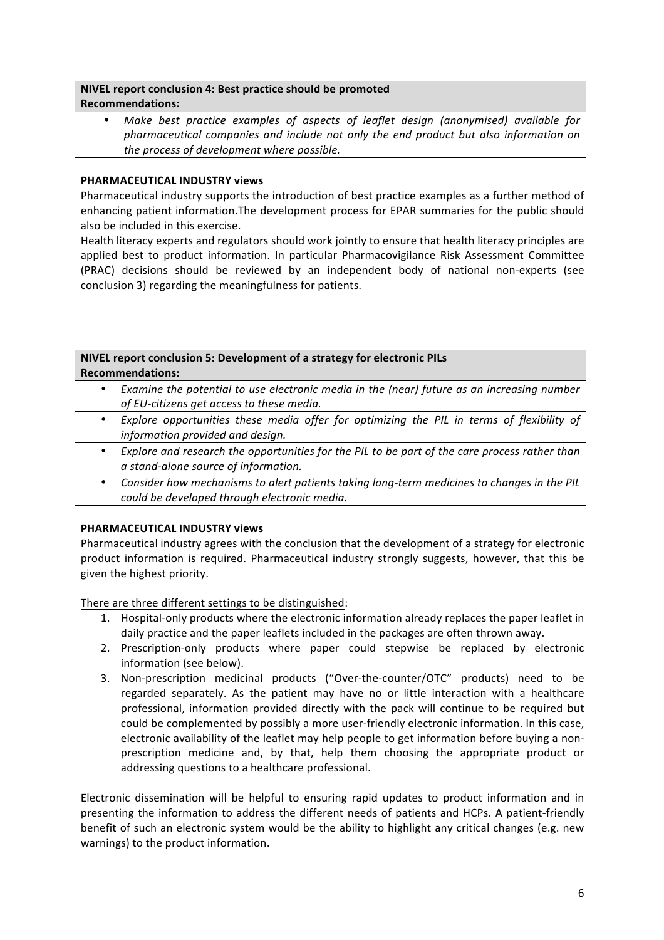### **NIVEL report conclusion 4: Best practice should be promoted Recommendations:**

Make best practice examples of aspects of leaflet design (anonymised) available for pharmaceutical companies and include not only the end product but also information on *the process of development where possible.* 

# **PHARMACEUTICAL INDUSTRY views**

Pharmaceutical industry supports the introduction of best practice examples as a further method of enhancing patient information. The development process for EPAR summaries for the public should also be included in this exercise.

Health literacy experts and regulators should work jointly to ensure that health literacy principles are applied best to product information. In particular Pharmacovigilance Risk Assessment Committee (PRAC) decisions should be reviewed by an independent body of national non-experts (see conclusion 3) regarding the meaningfulness for patients.

| NIVEL report conclusion 5: Development of a strategy for electronic PILs |                                                                                                                               |
|--------------------------------------------------------------------------|-------------------------------------------------------------------------------------------------------------------------------|
| <b>Recommendations:</b>                                                  |                                                                                                                               |
|                                                                          | Examine the potential to use electronic media in the (near) future as an increasing number                                    |
|                                                                          | of EU-citizens get access to these media.                                                                                     |
| ٠                                                                        | Explore opportunities these media offer for optimizing the PIL in terms of flexibility of<br>information provided and design. |
|                                                                          |                                                                                                                               |
| ٠                                                                        | Explore and research the opportunities for the PIL to be part of the care process rather than                                 |
|                                                                          | a stand-alone source of information.                                                                                          |
|                                                                          | Consider how mechanisms to alget patients taking long term medicines to shapens in the DIL                                    |

Consider how mechanisms to alert patients taking long-term medicines to changes in the PIL *could be developed through electronic media.*

# **PHARMACEUTICAL INDUSTRY views**

Pharmaceutical industry agrees with the conclusion that the development of a strategy for electronic product information is required. Pharmaceutical industry strongly suggests, however, that this be given the highest priority.

There are three different settings to be distinguished:

- 1. Hospital-only products where the electronic information already replaces the paper leaflet in daily practice and the paper leaflets included in the packages are often thrown away.
- 2. Prescription-only products where paper could stepwise be replaced by electronic information (see below).
- 3. Non-prescription medicinal products ("Over-the-counter/OTC" products) need to be regarded separately. As the patient may have no or little interaction with a healthcare professional, information provided directly with the pack will continue to be required but could be complemented by possibly a more user-friendly electronic information. In this case, electronic availability of the leaflet may help people to get information before buying a nonprescription medicine and, by that, help them choosing the appropriate product or addressing questions to a healthcare professional.

Electronic dissemination will be helpful to ensuring rapid updates to product information and in presenting the information to address the different needs of patients and HCPs. A patient-friendly benefit of such an electronic system would be the ability to highlight any critical changes (e.g. new warnings) to the product information.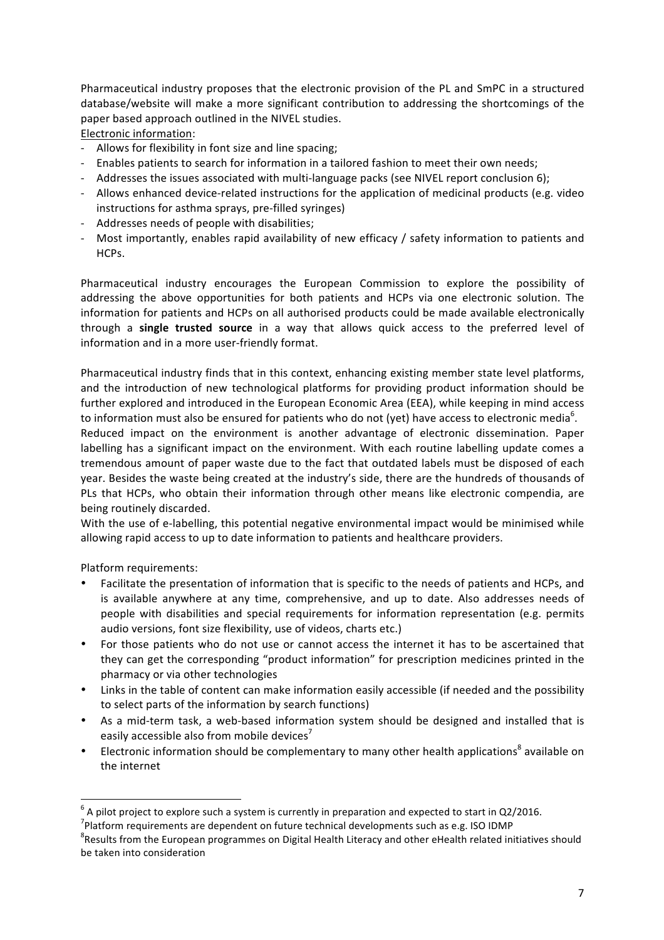Pharmaceutical industry proposes that the electronic provision of the PL and SmPC in a structured database/website will make a more significant contribution to addressing the shortcomings of the paper based approach outlined in the NIVEL studies.

Electronic information:

- Allows for flexibility in font size and line spacing;
- Enables patients to search for information in a tailored fashion to meet their own needs;
- Addresses the issues associated with multi-language packs (see NIVEL report conclusion 6);
- Allows enhanced device-related instructions for the application of medicinal products (e.g. video instructions for asthma sprays, pre-filled syringes)
- Addresses needs of people with disabilities;
- Most importantly, enables rapid availability of new efficacy / safety information to patients and HCPs.

Pharmaceutical industry encourages the European Commission to explore the possibility of addressing the above opportunities for both patients and HCPs via one electronic solution. The information for patients and HCPs on all authorised products could be made available electronically through a **single trusted source** in a way that allows quick access to the preferred level of information and in a more user-friendly format.

Pharmaceutical industry finds that in this context, enhancing existing member state level platforms, and the introduction of new technological platforms for providing product information should be further explored and introduced in the European Economic Area (EEA), while keeping in mind access to information must also be ensured for patients who do not (yet) have access to electronic media<sup>6</sup>.

Reduced impact on the environment is another advantage of electronic dissemination. Paper labelling has a significant impact on the environment. With each routine labelling update comes a tremendous amount of paper waste due to the fact that outdated labels must be disposed of each year. Besides the waste being created at the industry's side, there are the hundreds of thousands of PLs that HCPs, who obtain their information through other means like electronic compendia, are being routinely discarded.

With the use of e-labelling, this potential negative environmental impact would be minimised while allowing rapid access to up to date information to patients and healthcare providers.

Platform requirements:

- Facilitate the presentation of information that is specific to the needs of patients and HCPs, and is available anywhere at any time, comprehensive, and up to date. Also addresses needs of people with disabilities and special requirements for information representation (e.g. permits audio versions, font size flexibility, use of videos, charts etc.)
- For those patients who do not use or cannot access the internet it has to be ascertained that they can get the corresponding "product information" for prescription medicines printed in the pharmacy or via other technologies
- Links in the table of content can make information easily accessible (if needed and the possibility to select parts of the information by search functions)
- As a mid-term task, a web-based information system should be designed and installed that is easily accessible also from mobile devices<sup> $\prime$ </sup>
- Electronic information should be complementary to many other health applications<sup>8</sup> available on the internet

 $6$  A pilot project to explore such a system is currently in preparation and expected to start in Q2/2016.

<sup>&</sup>lt;sup>7</sup>Platform requirements are dependent on future technical developments such as e.g. ISO IDMP  $^{8}$ Desulta from the European precremmes an Digital Use the literary and other allegith related in

 ${}^{8}$ Results from the European programmes on Digital Health Literacy and other eHealth related initiatives should be taken into consideration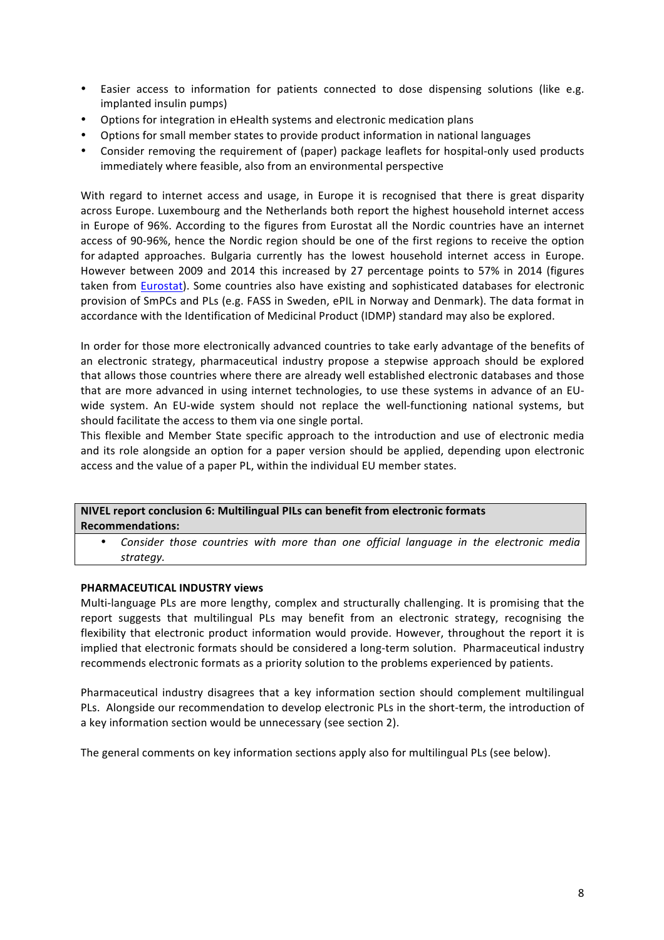- Easier access to information for patients connected to dose dispensing solutions (like e.g. implanted insulin pumps)
- Options for integration in eHealth systems and electronic medication plans
- Options for small member states to provide product information in national languages
- Consider removing the requirement of (paper) package leaflets for hospital-only used products immediately where feasible, also from an environmental perspective

With regard to internet access and usage, in Europe it is recognised that there is great disparity across Europe. Luxembourg and the Netherlands both report the highest household internet access in Europe of 96%. According to the figures from Eurostat all the Nordic countries have an internet access of 90-96%, hence the Nordic region should be one of the first regions to receive the option for adapted approaches. Bulgaria currently has the lowest household internet access in Europe. However between 2009 and 2014 this increased by 27 percentage points to 57% in 2014 (figures taken from Eurostat). Some countries also have existing and sophisticated databases for electronic provision of SmPCs and PLs (e.g. FASS in Sweden, ePIL in Norway and Denmark). The data format in accordance with the Identification of Medicinal Product (IDMP) standard may also be explored.

In order for those more electronically advanced countries to take early advantage of the benefits of an electronic strategy, pharmaceutical industry propose a stepwise approach should be explored that allows those countries where there are already well established electronic databases and those that are more advanced in using internet technologies, to use these systems in advance of an EUwide system. An EU-wide system should not replace the well-functioning national systems, but should facilitate the access to them via one single portal.

This flexible and Member State specific approach to the introduction and use of electronic media and its role alongside an option for a paper version should be applied, depending upon electronic access and the value of a paper PL, within the individual EU member states.

**NIVEL report conclusion 6: Multilingual PILs can benefit from electronic formats Recommendations:**

Consider those countries with more than one official language in the electronic media *strategy.*

#### **PHARMACEUTICAL INDUSTRY views**

Multi-language PLs are more lengthy, complex and structurally challenging. It is promising that the report suggests that multilingual PLs may benefit from an electronic strategy, recognising the flexibility that electronic product information would provide. However, throughout the report it is implied that electronic formats should be considered a long-term solution. Pharmaceutical industry recommends electronic formats as a priority solution to the problems experienced by patients.

Pharmaceutical industry disagrees that a key information section should complement multilingual PLs. Alongside our recommendation to develop electronic PLs in the short-term, the introduction of a key information section would be unnecessary (see section 2).

The general comments on key information sections apply also for multilingual PLs (see below).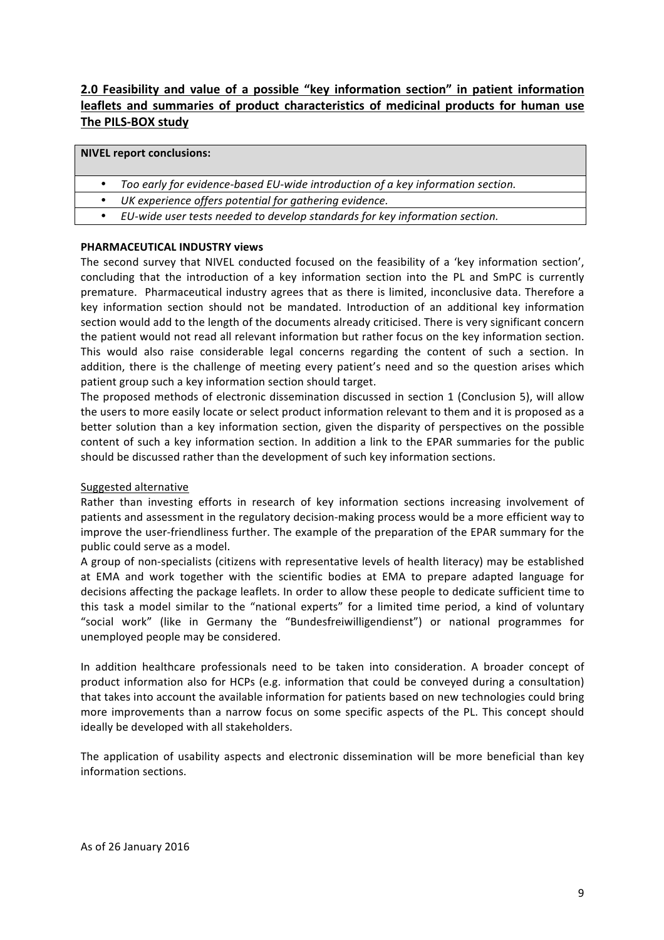# **2.0** Feasibility and value of a possible "key information section" in patient information leaflets and summaries of product characteristics of medicinal products for human use **The PILS-BOX study**

#### **NIVEL report conclusions:**

- Too early for evidence-based EU-wide introduction of a key information section.
- *UK* experience offers potential for gathering evidence.
- EU-wide user tests needed to develop standards for key information section.

#### **PHARMACEUTICAL INDUSTRY views**

The second survey that NIVEL conducted focused on the feasibility of a 'key information section', concluding that the introduction of a key information section into the PL and SmPC is currently premature. Pharmaceutical industry agrees that as there is limited, inconclusive data. Therefore a key information section should not be mandated. Introduction of an additional key information section would add to the length of the documents already criticised. There is very significant concern the patient would not read all relevant information but rather focus on the key information section. This would also raise considerable legal concerns regarding the content of such a section. In addition, there is the challenge of meeting every patient's need and so the question arises which patient group such a key information section should target.

The proposed methods of electronic dissemination discussed in section 1 (Conclusion 5), will allow the users to more easily locate or select product information relevant to them and it is proposed as a better solution than a key information section, given the disparity of perspectives on the possible content of such a key information section. In addition a link to the EPAR summaries for the public should be discussed rather than the development of such key information sections.

#### Suggested alternative

Rather than investing efforts in research of key information sections increasing involvement of patients and assessment in the regulatory decision-making process would be a more efficient way to improve the user-friendliness further. The example of the preparation of the EPAR summary for the public could serve as a model.

A group of non-specialists (citizens with representative levels of health literacy) may be established at EMA and work together with the scientific bodies at EMA to prepare adapted language for decisions affecting the package leaflets. In order to allow these people to dedicate sufficient time to this task a model similar to the "national experts" for a limited time period, a kind of voluntary "social work" (like in Germany the "Bundesfreiwilligendienst") or national programmes for unemployed people may be considered.

In addition healthcare professionals need to be taken into consideration. A broader concept of product information also for HCPs (e.g. information that could be conveyed during a consultation) that takes into account the available information for patients based on new technologies could bring more improvements than a narrow focus on some specific aspects of the PL. This concept should ideally be developed with all stakeholders.

The application of usability aspects and electronic dissemination will be more beneficial than key information sections.